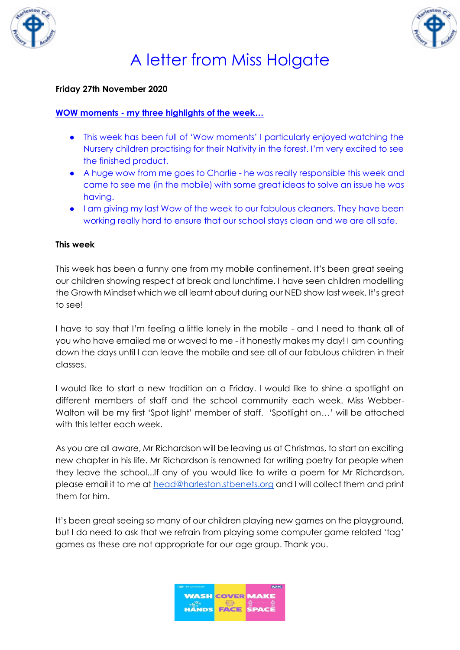



### **Friday 27th November 2020**

### **WOW moments - my three highlights of the week…**

- This week has been full of 'Wow moments' I particularly enjoyed watching the Nursery children practising for their Nativity in the forest. I'm very excited to see the finished product.
- A huge wow from me goes to Charlie he was really responsible this week and came to see me (in the mobile) with some great ideas to solve an issue he was having.
- I am giving my last Wow of the week to our fabulous cleaners. They have been working really hard to ensure that our school stays clean and we are all safe.

#### **This week**

This week has been a funny one from my mobile confinement. It's been great seeing our children showing respect at break and lunchtime. I have seen children modelling the Growth Mindset which we all learnt about during our NED show last week. It's great to see!

I have to say that I'm feeling a little lonely in the mobile - and I need to thank all of you who have emailed me or waved to me - it honestly makes my day! I am counting down the days until I can leave the mobile and see all of our fabulous children in their classes.

I would like to start a new tradition on a Friday. I would like to shine a spotlight on different members of staff and the school community each week. Miss Webber-Walton will be my first 'Spot light' member of staff. 'Spotlight on…' will be attached with this letter each week.

As you are all aware, Mr Richardson will be leaving us at Christmas, to start an exciting new chapter in his life. Mr Richardson is renowned for writing poetry for people when they leave the school...If any of you would like to write a poem for Mr Richardson, please email it to me at [head@harleston.stbenets.org](mailto:head@harleston.stbenets.org) and I will collect them and print them for him.

It's been great seeing so many of our children playing new games on the playground, but I do need to ask that we refrain from playing some computer game related 'tag' games as these are not appropriate for our age group. Thank you.

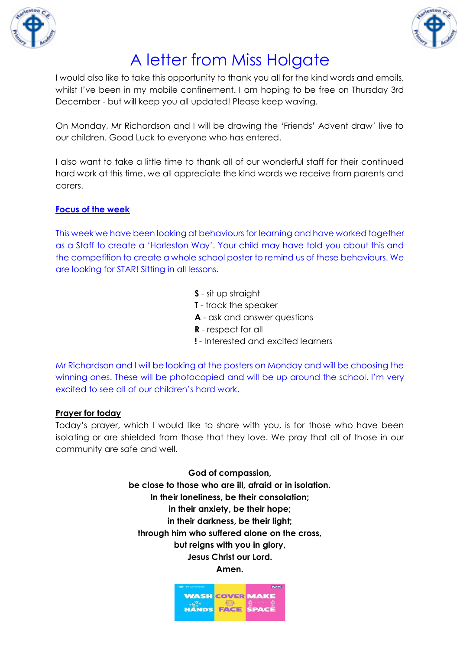



I would also like to take this opportunity to thank you all for the kind words and emails, whilst I've been in my mobile confinement. I am hoping to be free on Thursday 3rd December - but will keep you all updated! Please keep waving.

On Monday, Mr Richardson and I will be drawing the 'Friends' Advent draw' live to our children. Good Luck to everyone who has entered.

I also want to take a little time to thank all of our wonderful staff for their continued hard work at this time, we all appreciate the kind words we receive from parents and carers.

### **Focus of the week**

This week we have been looking at behaviours for learning and have worked together as a Staff to create a 'Harleston Way'. Your child may have told you about this and the competition to create a whole school poster to remind us of these behaviours. We are looking for STAR! Sitting in all lessons.

- **S** sit up straight
- **T**  track the speaker
- **A** ask and answer questions
- **R** respect for all
- **!** Interested and excited learners

Mr Richardson and I will be looking at the posters on Monday and will be choosing the winning ones. These will be photocopied and will be up around the school. I'm very excited to see all of our children's hard work.

#### **Prayer for today**

Today's prayer, which I would like to share with you, is for those who have been isolating or are shielded from those that they love. We pray that all of those in our community are safe and well.

> **God of compassion, be close to those who are ill, afraid or in isolation. In their loneliness, be their consolation; in their anxiety, be their hope; in their darkness, be their light; through him who suffered alone on the cross, but reigns with you in glory, Jesus Christ our Lord. Amen.**

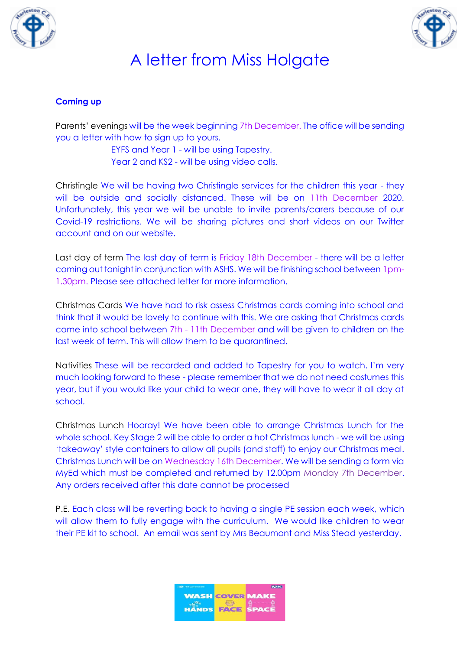



### **Coming up**

Parents' evenings will be the week beginning 7th December. The office will be sending you a letter with how to sign up to yours.

> EYFS and Year 1 - will be using Tapestry. Year 2 and KS2 - will be using video calls.

Christingle We will be having two Christingle services for the children this year - they will be outside and socially distanced. These will be on 11th December 2020. Unfortunately, this year we will be unable to invite parents/carers because of our Covid-19 restrictions. We will be sharing pictures and short videos on our Twitter account and on our website.

Last day of term The last day of term is Friday 18th December - there will be a letter coming out tonight in conjunction with ASHS. We will be finishing school between 1pm-1.30pm. Please see attached letter for more information.

Christmas Cards We have had to risk assess Christmas cards coming into school and think that it would be lovely to continue with this. We are asking that Christmas cards come into school between 7th - 11th December and will be given to children on the last week of term. This will allow them to be quarantined.

Nativities These will be recorded and added to Tapestry for you to watch. I'm very much looking forward to these - please remember that we do not need costumes this year, but if you would like your child to wear one, they will have to wear it all day at school.

Christmas Lunch Hooray! We have been able to arrange Christmas Lunch for the whole school. Key Stage 2 will be able to order a hot Christmas lunch - we will be using 'takeaway' style containers to allow all pupils (and staff) to enjoy our Christmas meal. Christmas Lunch will be on Wednesday 16th December. We will be sending a form via MyEd which must be completed and returned by 12.00pm Monday 7th December. Any orders received after this date cannot be processed

P.E. Each class will be reverting back to having a single PE session each week, which will allow them to fully engage with the curriculum. We would like children to wear their PE kit to school. An email was sent by Mrs Beaumont and Miss Stead yesterday.

| <b>RES HM Government</b> |                        | <b>NHS</b>   |
|--------------------------|------------------------|--------------|
|                          | <b>WASH COVER MAKE</b> |              |
| <b>HANDS</b>             | FACE                   | <b>SPACE</b> |
|                          |                        |              |